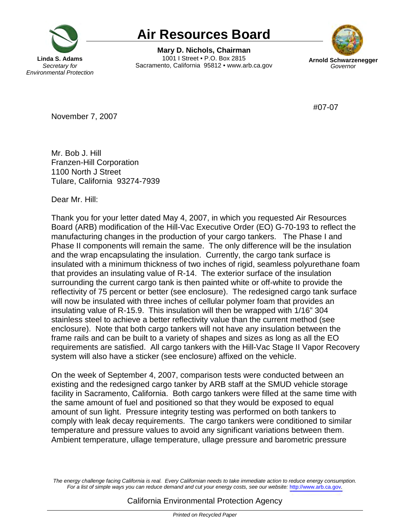

## **Air Resources Board**

1001 | Street . P.O. Box 2815 **Linda S. Adams 1001 I Street • P.O. Box 2815 Arnold Schwarzenegger Secretary for Sacramento, California 95812 • www.arb.ca.gov Governor** *Governor* **Mary D. Nichols, Chairman** 



#07-07

November 7, 2007

 Mr. Bob J. Hill 1100 North J Street Tulare, California 93274-7939 Franzen-Hill Corporation

Dear Mr. Hill:

 Thank you for your letter dated May 4, 2007, in which you requested Air Resources Board (ARB) modification of the Hill-Vac Executive Order (EO) G-70-193 to reflect the manufacturing changes in the production of your cargo tankers. The Phase I and Phase II components will remain the same. The only difference will be the insulation and the wrap encapsulating the insulation. Currently, the cargo tank surface is insulated with a minimum thickness of two inches of rigid, seamless polyurethane foam that provides an insulating value of R-14. The exterior surface of the insulation surrounding the current cargo tank is then painted white or off-white to provide the reflectivity of 75 percent or better (see enclosure). The redesigned cargo tank surface will now be insulated with three inches of cellular polymer foam that provides an insulating value of R-15.9. This insulation will then be wrapped with 1/16" 304 stainless steel to achieve a better reflectivity value than the current method (see enclosure). Note that both cargo tankers will not have any insulation between the frame rails and can be built to a variety of shapes and sizes as long as all the EO requirements are satisfied. All cargo tankers with the Hill-Vac Stage II Vapor Recovery system will also have a sticker (see enclosure) affixed on the vehicle.

 On the week of September 4, 2007, comparison tests were conducted between an existing and the redesigned cargo tanker by ARB staff at the SMUD vehicle storage facility in Sacramento, California. Both cargo tankers were filled at the same time with the same amount of fuel and positioned so that they would be exposed to equal amount of sun light. Pressure integrity testing was performed on both tankers to comply with leak decay requirements. The cargo tankers were conditioned to similar temperature and pressure values to avoid any significant variations between them. Ambient temperature, ullage temperature, ullage pressure and barometric pressure

 The energy challenge facing California is real. Every Californian needs to take immediate action to reduce energy consumption. For a list of simple ways you can reduce demand and cut your energy costs, see our website: <http://www.arb.ca.gov>.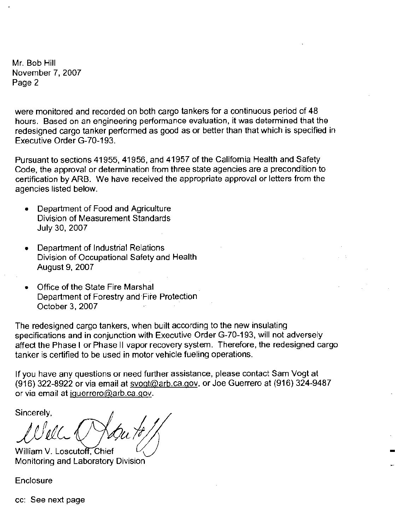Mr. Bob Hill November 7, 2007 Page 2

**were monitored and recorded on both cargo tankers for a continuous period of 48 hours. Based on an engineering performance evaluation, it was determined that the**  redesigned cargo tanker performed as good as or better than that which is specified in Executive Order G-70-193.

Pursuant to sections 41955, 41956, and 41957 of the California Health and Safety **Code, the approval or determination from three state agencies are a precondition to certification by ARB. We have received the appropriate approval or letters from the**  agencies listed below.

- Department of Food and Agriculture **Division of Measurement Standards**  July 30, 2007
- Department of Industrial Relations Division of Occupational Safety and Health August 9, 2007
- Office of the State Fire Marshal Department of Forestry and Fire Protection October 3, 2007

The redesigned cargo tankers, when built according to the new insulating specifications and in conjunction with Executive Order G-70-193, will not adversely affect the Phase I or Phase II vapor recovery system. Therefore, the redesigned cargo **tanker is certified to be used in motor vehicle fueling operations.** 

**If you have any questions or need further assistance, please contact Sam Vogt at**  (916) 322-8922 or via email at [svogt@arb.ca.gov,](mailto:svogt@arb.ca.gov) or Joe Guerrero at (916) 324-9487 **or via email at [jguerrero@arb.ca.qov](mailto:jguerrero@arb.ca.qov).** 

-

Sincerely,

William V. Loscutoff, Chief Monitoring and Laboratory Division

**Enclosure** 

**cc: See next page**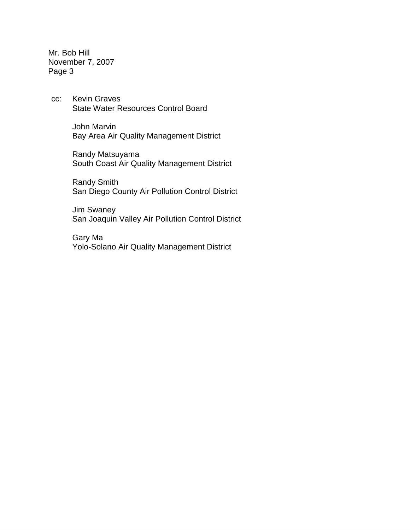Mr. Bob Hill November 7, 2007 Page 3

CC: State Water Resources Control Board Kevin Graves

> John Marvin Bay Area Air Quality Management District

 South Coast Air Quality Management District Randy Matsuyama

 Randy Smith San Diego County Air Pollution Control District

Jim Swaney San Joaquin Valley Air Pollution Control District

 Yolo-Solano Air Quality Management District Gary Ma